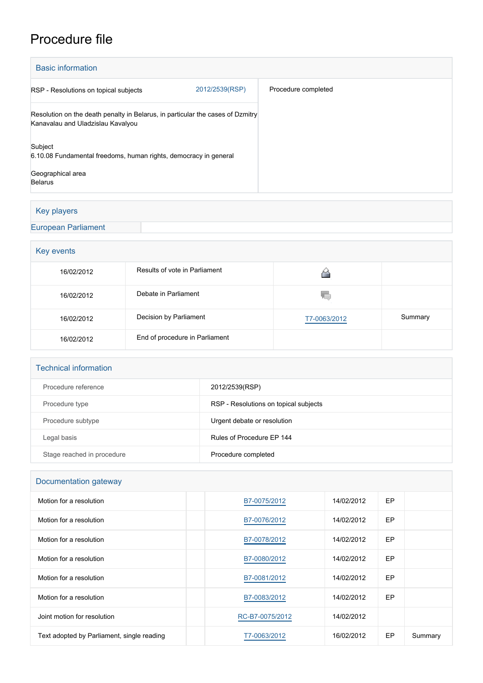# Procedure file

| <b>Basic information</b>                                                                                            |                |                     |  |  |  |
|---------------------------------------------------------------------------------------------------------------------|----------------|---------------------|--|--|--|
| RSP - Resolutions on topical subjects                                                                               | 2012/2539(RSP) | Procedure completed |  |  |  |
| Resolution on the death penalty in Belarus, in particular the cases of Dzmitry<br>Kanavalau and Uladzislau Kavalyou |                |                     |  |  |  |
| Subject<br>6.10.08 Fundamental freedoms, human rights, democracy in general                                         |                |                     |  |  |  |
| Geographical area<br><b>Belarus</b>                                                                                 |                |                     |  |  |  |

# Key players

[European Parliament](http://www.europarl.europa.eu/)

# Key events

| 16/02/2012 | Results of vote in Parliament  |              |         |
|------------|--------------------------------|--------------|---------|
| 16/02/2012 | Debate in Parliament           | W.           |         |
| 16/02/2012 | Decision by Parliament         | T7-0063/2012 | Summary |
| 16/02/2012 | End of procedure in Parliament |              |         |

#### Technical information

| Procedure reference        | 2012/2539(RSP)                        |
|----------------------------|---------------------------------------|
| Procedure type             | RSP - Resolutions on topical subjects |
| Procedure subtype          | Urgent debate or resolution           |
| Legal basis                | Rules of Procedure FP 144             |
| Stage reached in procedure | Procedure completed                   |

# Documentation gateway

| Motion for a resolution                    | B7-0075/2012    | 14/02/2012 | EP |         |
|--------------------------------------------|-----------------|------------|----|---------|
| Motion for a resolution                    | B7-0076/2012    | 14/02/2012 | EP |         |
| Motion for a resolution                    | B7-0078/2012    | 14/02/2012 | EP |         |
| Motion for a resolution                    | B7-0080/2012    | 14/02/2012 | EP |         |
| Motion for a resolution                    | B7-0081/2012    | 14/02/2012 | EP |         |
| Motion for a resolution                    | B7-0083/2012    | 14/02/2012 | EP |         |
| Joint motion for resolution                | RC-B7-0075/2012 | 14/02/2012 |    |         |
| Text adopted by Parliament, single reading | T7-0063/2012    | 16/02/2012 | EP | Summary |